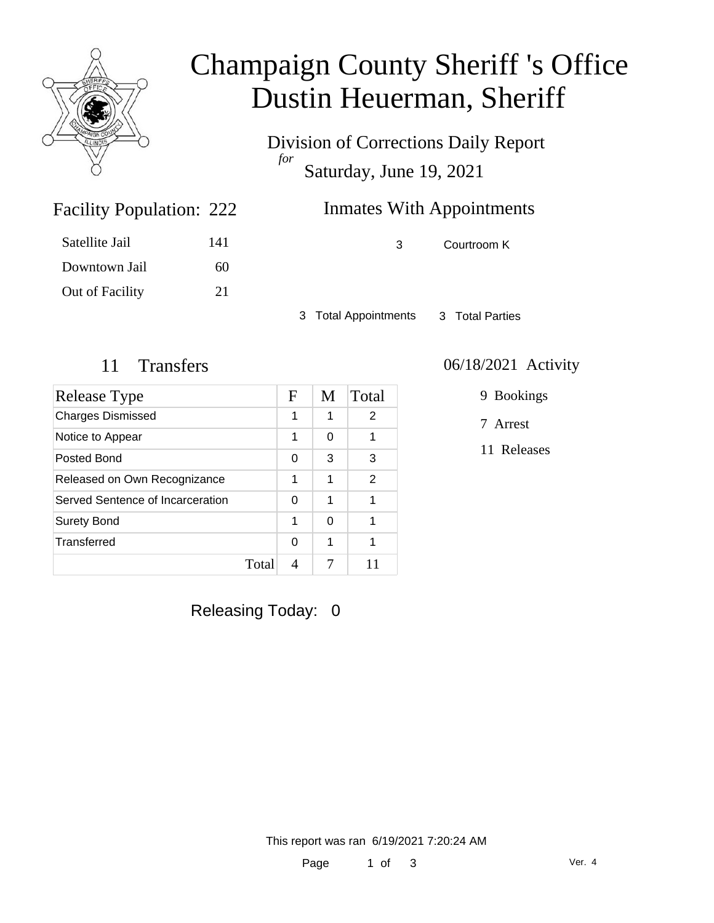

# Champaign County Sheriff 's Office Dustin Heuerman, Sheriff

Division of Corrections Daily Report *for* Saturday, June 19, 2021

## Inmates With Appointments

Facility Population: 222

Satellite Jail 141 Downtown Jail 60 Out of Facility 21

3 Courtroom K

3 Total Appointments 3 Total Parties

| Release Type                     | F          | M | Total          |
|----------------------------------|------------|---|----------------|
| <b>Charges Dismissed</b>         | 1          | 1 | 2              |
| Notice to Appear                 | 1          | 0 |                |
| Posted Bond                      | 0          | 3 | 3              |
| Released on Own Recognizance     | 1          | 1 | $\overline{2}$ |
| Served Sentence of Incarceration | 0          | 1 |                |
| <b>Surety Bond</b>               | 1          | 0 |                |
| Transferred                      | $\Omega$   | 1 |                |
|                                  | Total<br>4 |   |                |

#### 11 Transfers 06/18/2021 Activity

9 Bookings

7 Arrest

11 Releases

Releasing Today: 0

This report was ran 6/19/2021 7:20:24 AM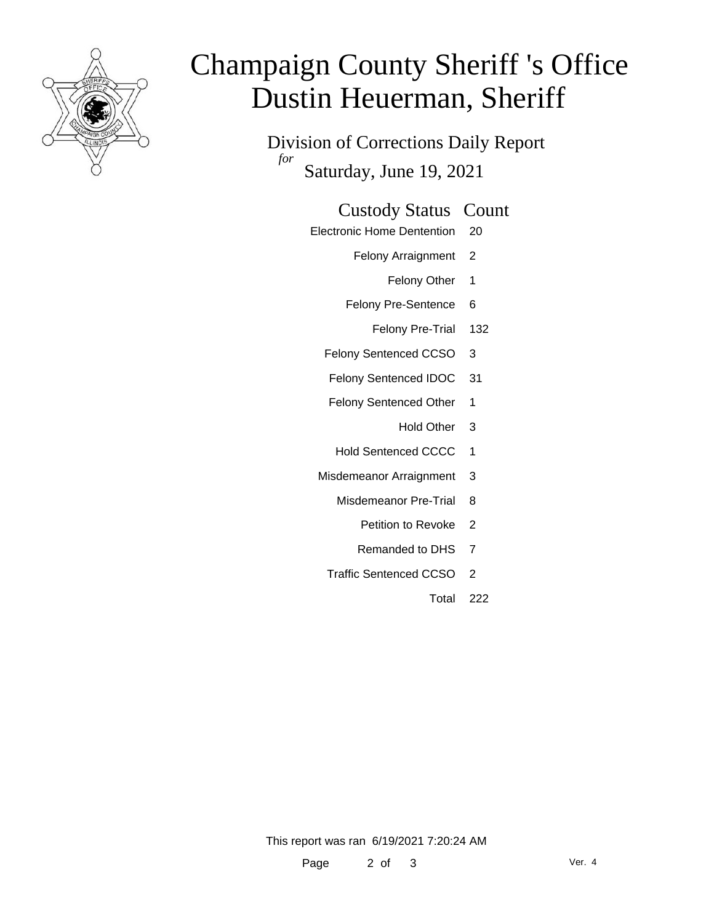

# Champaign County Sheriff 's Office Dustin Heuerman, Sheriff

Division of Corrections Daily Report *for* Saturday, June 19, 2021

#### Custody Status Count

- Electronic Home Dentention 20
	- Felony Arraignment 2
		- Felony Other 1
	- Felony Pre-Sentence 6
		- Felony Pre-Trial 132
	- Felony Sentenced CCSO 3
	- Felony Sentenced IDOC 31
	- Felony Sentenced Other 1
		- Hold Other 3
	- Hold Sentenced CCCC 1
	- Misdemeanor Arraignment 3
		- Misdemeanor Pre-Trial 8
			- Petition to Revoke 2
			- Remanded to DHS 7
		- Traffic Sentenced CCSO 2
			- Total 222

This report was ran 6/19/2021 7:20:24 AM